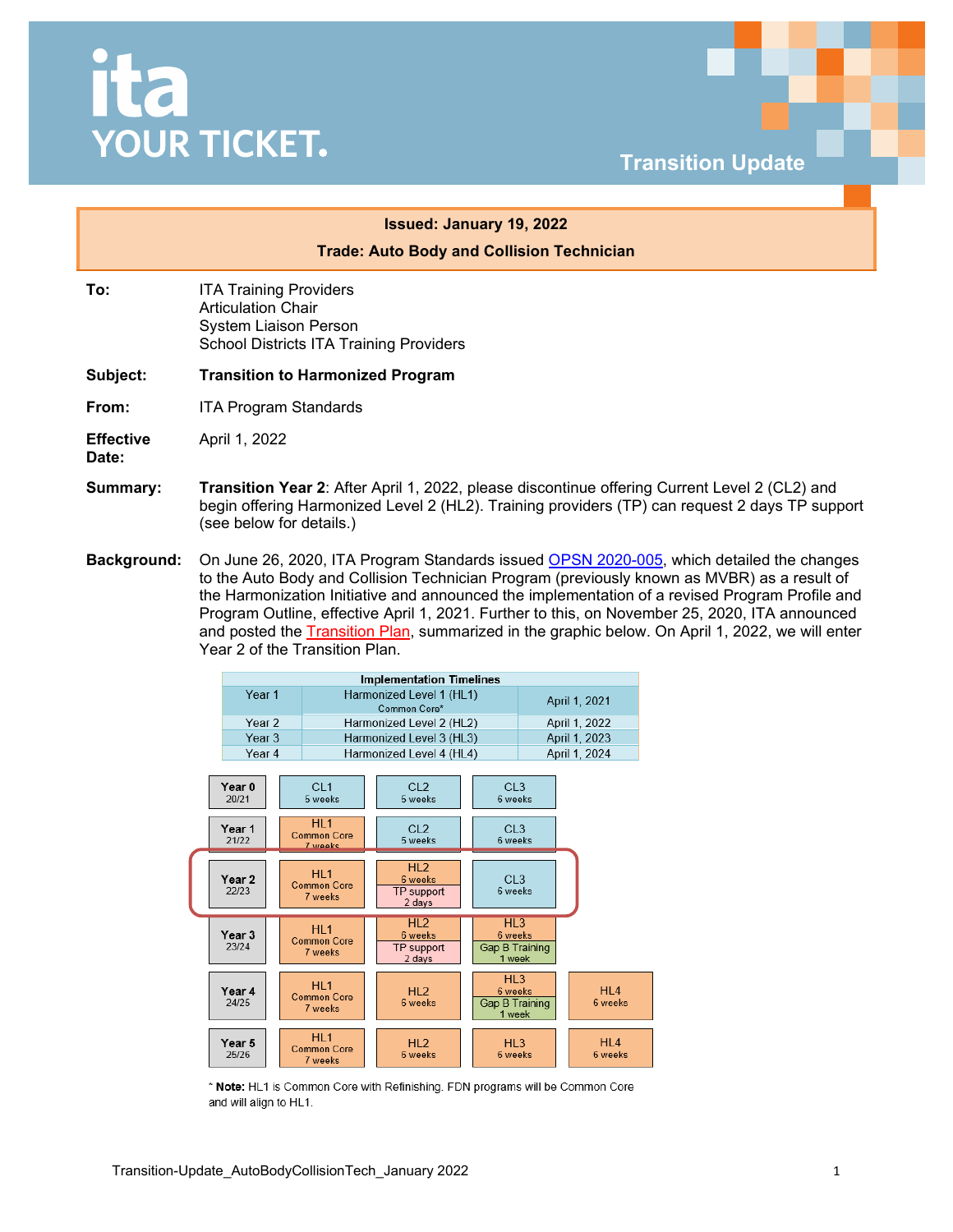## <u>ita</u> **YOUR TICKET.**



## **Trade: Auto Body and Collision Technician To:** ITA Training Providers Articulation Chair System Liaison Person School Districts ITA Training Providers **Subject: Transition to Harmonized Program From:** ITA Program Standards **Effective Date:** April 1, 2022

**Summary: Transition Year 2**: After April 1, 2022, please discontinue offering Current Level 2 (CL2) and begin offering Harmonized Level 2 (HL2). Training providers (TP) can request 2 days TP support (see below for details.)

**Issued: January 19, 2022**

**Background:** On June 26, 2020, ITA Program Standards issued [OPSN 2020-005,](https://www.itabc.ca/sites/default/files/docs/OPSN-2020-005-Automotive-Collision-Repair-Technician-Program-Outline-Update.pdf) which detailed the changes to the Auto Body and Collision Technician Program (previously known as MVBR) as a result of the Harmonization Initiative and announced the implementation of a revised Program Profile and Program Outline, effective April 1, 2021. Further to this, on November 25, 2020, ITA announced and posted the [Transition Plan,](https://www.itabc.ca/sites/default/files/docs/Collision%20Transition%20Plan%20-%20external_0.pdf) summarized in the graphic below. On April 1, 2022, we will enter Year 2 of the Transition Plan.

|                            |                                                  | <b>Implementation Timelines</b>           |                                                        |                            |  |
|----------------------------|--------------------------------------------------|-------------------------------------------|--------------------------------------------------------|----------------------------|--|
| Year <sub>1</sub>          |                                                  | Harmonized Level 1 (HL1)<br>Common Core*  |                                                        | April 1, 2021              |  |
| Year <sub>2</sub>          |                                                  | Harmonized Level 2 (HL2)<br>April 1, 2022 |                                                        |                            |  |
| Year <sub>3</sub>          |                                                  | Harmonized Level 3 (HL3)                  |                                                        | April 1, 2023              |  |
| Year 4                     |                                                  | Harmonized Level 4 (HL4)                  |                                                        | April 1, 2024              |  |
| Year <sub>0</sub><br>20/21 | CI <sub>1</sub><br>5 weeks                       | CI.2<br>5 weeks                           | CL3<br>6 weeks                                         |                            |  |
| Year 1<br>21/22            | HL <sub>1</sub><br><b>Common Core</b><br>7 weeks | CL <sub>2</sub><br>5 weeks                |                                                        | CL3<br>6 weeks             |  |
| Year 2<br>22/23            | HI <sub>1</sub><br><b>Common Core</b><br>7 weeks | HL2<br>6 weeks<br>TP support<br>2 days    | CL3<br>6 weeks                                         |                            |  |
| Year 3<br>23/24            | HI <sub>1</sub><br>Common Core<br>7 weeks        | HI2<br>6 weeks<br>TP support<br>2 days    | HI <sub>3</sub><br>6 weeks<br>Gap B Training<br>1 week |                            |  |
| Year 4<br>24/25            | HI <sub>1</sub><br>Common Core<br>7 weeks        | HI2<br>6 weeks                            | HI <sub>3</sub><br>6 weeks<br>Gap B Training<br>1 week | HI 4<br>6 weeks            |  |
| Year 5<br>25/26            | HI <sub>1</sub><br><b>Common Core</b><br>7 weeks | HI2<br>6 weeks                            | HI <sub>3</sub><br>6 weeks                             | HI <sub>4</sub><br>6 weeks |  |

\* Note: HL1 is Common Core with Refinishing. FDN programs will be Common Core and will align to HL1.